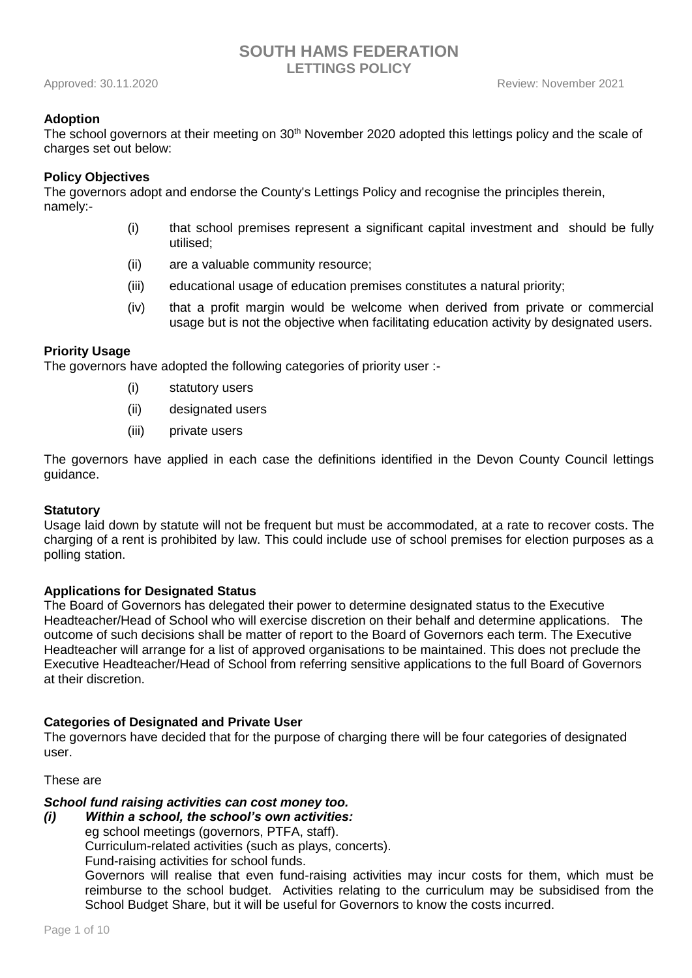## **Adoption**

The school governors at their meeting on 30<sup>th</sup> November 2020 adopted this lettings policy and the scale of charges set out below:

#### **Policy Objectives**

The governors adopt and endorse the County's Lettings Policy and recognise the principles therein, namely:-

- (i) that school premises represent a significant capital investment and should be fully utilised;
- (ii) are a valuable community resource;
- (iii) educational usage of education premises constitutes a natural priority;
- (iv) that a profit margin would be welcome when derived from private or commercial usage but is not the objective when facilitating education activity by designated users.

#### **Priority Usage**

The governors have adopted the following categories of priority user :-

- (i) statutory users
- (ii) designated users
- (iii) private users

The governors have applied in each case the definitions identified in the Devon County Council lettings guidance.

#### **Statutory**

Usage laid down by statute will not be frequent but must be accommodated, at a rate to recover costs. The charging of a rent is prohibited by law. This could include use of school premises for election purposes as a polling station.

## **Applications for Designated Status**

The Board of Governors has delegated their power to determine designated status to the Executive Headteacher/Head of School who will exercise discretion on their behalf and determine applications. The outcome of such decisions shall be matter of report to the Board of Governors each term. The Executive Headteacher will arrange for a list of approved organisations to be maintained. This does not preclude the Executive Headteacher/Head of School from referring sensitive applications to the full Board of Governors at their discretion.

## **Categories of Designated and Private User**

The governors have decided that for the purpose of charging there will be four categories of designated user.

## These are

# *School fund raising activities can cost money too.*

*(i) Within a school, the school's own activities:*

eg school meetings (governors, PTFA, staff).

Curriculum-related activities (such as plays, concerts).

Fund-raising activities for school funds.

Governors will realise that even fund-raising activities may incur costs for them, which must be reimburse to the school budget. Activities relating to the curriculum may be subsidised from the School Budget Share, but it will be useful for Governors to know the costs incurred.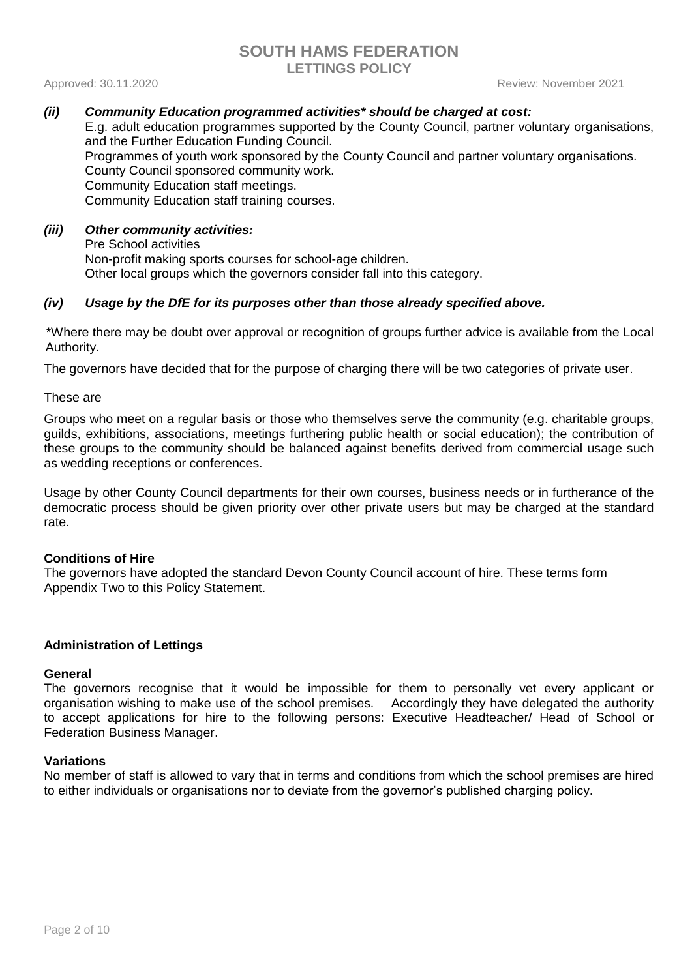Approved: 30.11.2020 **Review: November 2021** 

## *(ii) Community Education programmed activities\* should be charged at cost:*

E.g. adult education programmes supported by the County Council, partner voluntary organisations, and the Further Education Funding Council. Programmes of youth work sponsored by the County Council and partner voluntary organisations. County Council sponsored community work. Community Education staff meetings. Community Education staff training courses.

## *(iii) Other community activities:* Pre School activities Non-profit making sports courses for school-age children. Other local groups which the governors consider fall into this category.

## *(iv) Usage by the DfE for its purposes other than those already specified above.*

\*Where there may be doubt over approval or recognition of groups further advice is available from the Local Authority.

The governors have decided that for the purpose of charging there will be two categories of private user.

These are

Groups who meet on a regular basis or those who themselves serve the community (e.g. charitable groups, guilds, exhibitions, associations, meetings furthering public health or social education); the contribution of these groups to the community should be balanced against benefits derived from commercial usage such as wedding receptions or conferences.

Usage by other County Council departments for their own courses, business needs or in furtherance of the democratic process should be given priority over other private users but may be charged at the standard rate.

## **Conditions of Hire**

The governors have adopted the standard Devon County Council account of hire. These terms form Appendix Two to this Policy Statement.

## **Administration of Lettings**

## **General**

The governors recognise that it would be impossible for them to personally vet every applicant or organisation wishing to make use of the school premises. Accordingly they have delegated the authority to accept applications for hire to the following persons: Executive Headteacher/ Head of School or Federation Business Manager.

## **Variations**

No member of staff is allowed to vary that in terms and conditions from which the school premises are hired to either individuals or organisations nor to deviate from the governor's published charging policy.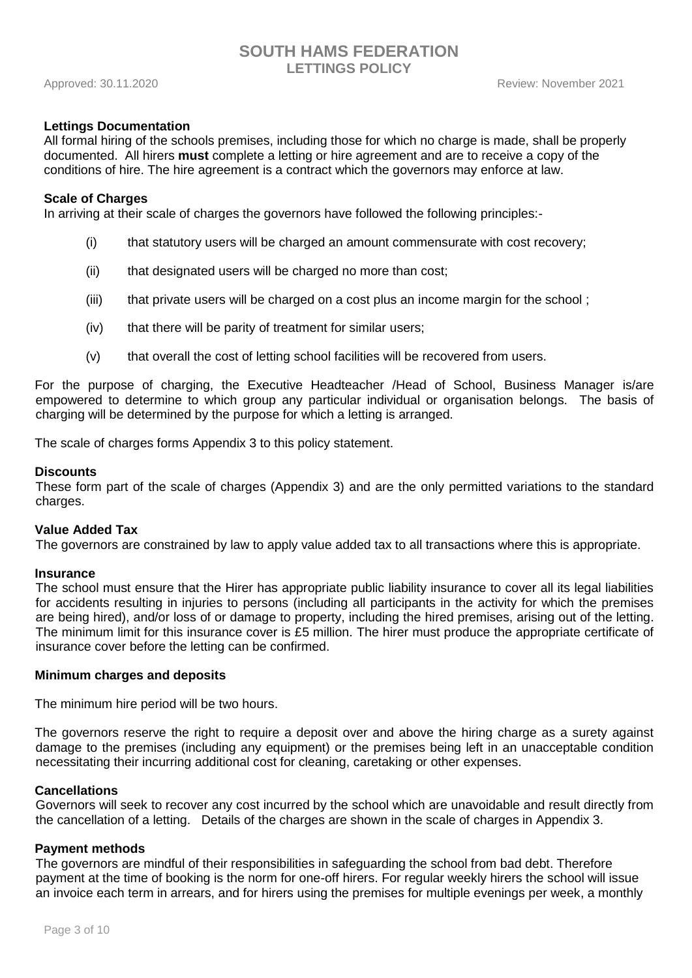## **Lettings Documentation**

All formal hiring of the schools premises, including those for which no charge is made, shall be properly documented. All hirers **must** complete a letting or hire agreement and are to receive a copy of the conditions of hire. The hire agreement is a contract which the governors may enforce at law.

#### **Scale of Charges**

In arriving at their scale of charges the governors have followed the following principles:-

- (i) that statutory users will be charged an amount commensurate with cost recovery;
- (ii) that designated users will be charged no more than cost;
- (iii) that private users will be charged on a cost plus an income margin for the school ;
- (iv) that there will be parity of treatment for similar users;
- (v) that overall the cost of letting school facilities will be recovered from users.

For the purpose of charging, the Executive Headteacher /Head of School, Business Manager is/are empowered to determine to which group any particular individual or organisation belongs. The basis of charging will be determined by the purpose for which a letting is arranged.

The scale of charges forms Appendix 3 to this policy statement.

#### **Discounts**

These form part of the scale of charges (Appendix 3) and are the only permitted variations to the standard charges.

#### **Value Added Tax**

The governors are constrained by law to apply value added tax to all transactions where this is appropriate.

#### **Insurance**

The school must ensure that the Hirer has appropriate public liability insurance to cover all its legal liabilities for accidents resulting in injuries to persons (including all participants in the activity for which the premises are being hired), and/or loss of or damage to property, including the hired premises, arising out of the letting. The minimum limit for this insurance cover is £5 million. The hirer must produce the appropriate certificate of insurance cover before the letting can be confirmed.

#### **Minimum charges and deposits**

The minimum hire period will be two hours.

The governors reserve the right to require a deposit over and above the hiring charge as a surety against damage to the premises (including any equipment) or the premises being left in an unacceptable condition necessitating their incurring additional cost for cleaning, caretaking or other expenses.

#### **Cancellations**

Governors will seek to recover any cost incurred by the school which are unavoidable and result directly from the cancellation of a letting. Details of the charges are shown in the scale of charges in Appendix 3.

#### **Payment methods**

The governors are mindful of their responsibilities in safeguarding the school from bad debt. Therefore payment at the time of booking is the norm for one-off hirers. For regular weekly hirers the school will issue an invoice each term in arrears, and for hirers using the premises for multiple evenings per week, a monthly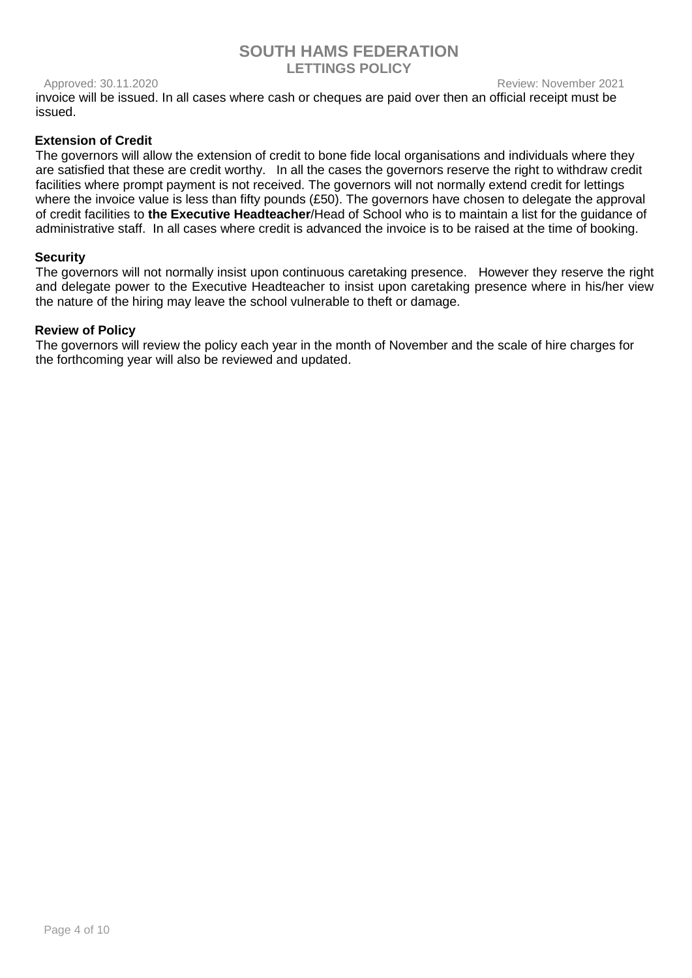## Approved: 30.11.2020 **Review: November 2021**

invoice will be issued. In all cases where cash or cheques are paid over then an official receipt must be issued.

## **Extension of Credit**

The governors will allow the extension of credit to bone fide local organisations and individuals where they are satisfied that these are credit worthy. In all the cases the governors reserve the right to withdraw credit facilities where prompt payment is not received. The governors will not normally extend credit for lettings where the invoice value is less than fifty pounds (£50). The governors have chosen to delegate the approval of credit facilities to **the Executive Headteacher**/Head of School who is to maintain a list for the guidance of administrative staff. In all cases where credit is advanced the invoice is to be raised at the time of booking.

## **Security**

The governors will not normally insist upon continuous caretaking presence. However they reserve the right and delegate power to the Executive Headteacher to insist upon caretaking presence where in his/her view the nature of the hiring may leave the school vulnerable to theft or damage.

## **Review of Policy**

The governors will review the policy each year in the month of November and the scale of hire charges for the forthcoming year will also be reviewed and updated.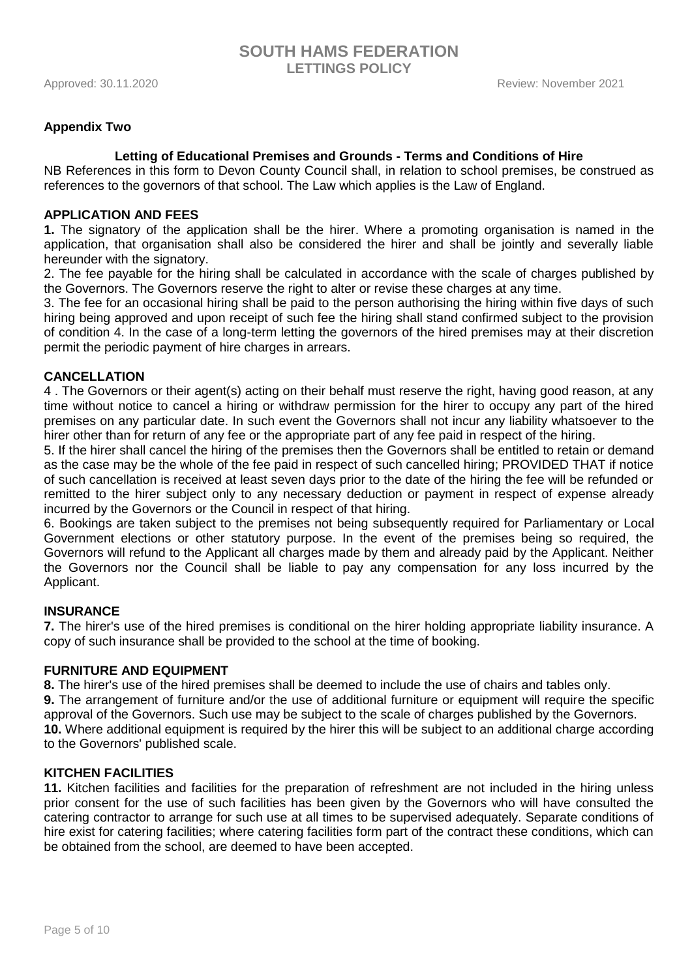## **Appendix Two**

## **Letting of Educational Premises and Grounds - Terms and Conditions of Hire**

NB References in this form to Devon County Council shall, in relation to school premises, be construed as references to the governors of that school. The Law which applies is the Law of England.

## **APPLICATION AND FEES**

**1.** The signatory of the application shall be the hirer. Where a promoting organisation is named in the application, that organisation shall also be considered the hirer and shall be jointly and severally liable hereunder with the signatory.

2. The fee payable for the hiring shall be calculated in accordance with the scale of charges published by the Governors. The Governors reserve the right to alter or revise these charges at any time.

3. The fee for an occasional hiring shall be paid to the person authorising the hiring within five days of such hiring being approved and upon receipt of such fee the hiring shall stand confirmed subject to the provision of condition 4. In the case of a long-term letting the governors of the hired premises may at their discretion permit the periodic payment of hire charges in arrears.

## **CANCELLATION**

4 . The Governors or their agent(s) acting on their behalf must reserve the right, having good reason, at any time without notice to cancel a hiring or withdraw permission for the hirer to occupy any part of the hired premises on any particular date. In such event the Governors shall not incur any liability whatsoever to the hirer other than for return of any fee or the appropriate part of any fee paid in respect of the hiring.

5. If the hirer shall cancel the hiring of the premises then the Governors shall be entitled to retain or demand as the case may be the whole of the fee paid in respect of such cancelled hiring; PROVIDED THAT if notice of such cancellation is received at least seven days prior to the date of the hiring the fee will be refunded or remitted to the hirer subject only to any necessary deduction or payment in respect of expense already incurred by the Governors or the Council in respect of that hiring.

6. Bookings are taken subject to the premises not being subsequently required for Parliamentary or Local Government elections or other statutory purpose. In the event of the premises being so required, the Governors will refund to the Applicant all charges made by them and already paid by the Applicant. Neither the Governors nor the Council shall be liable to pay any compensation for any loss incurred by the Applicant.

## **INSURANCE**

**7.** The hirer's use of the hired premises is conditional on the hirer holding appropriate liability insurance. A copy of such insurance shall be provided to the school at the time of booking.

## **FURNITURE AND EQUIPMENT**

**8.** The hirer's use of the hired premises shall be deemed to include the use of chairs and tables only.

**9.** The arrangement of furniture and/or the use of additional furniture or equipment will require the specific approval of the Governors. Such use may be subject to the scale of charges published by the Governors. **10.** Where additional equipment is required by the hirer this will be subject to an additional charge according to the Governors' published scale.

## **KITCHEN FACILITIES**

**11.** Kitchen facilities and facilities for the preparation of refreshment are not included in the hiring unless prior consent for the use of such facilities has been given by the Governors who will have consulted the catering contractor to arrange for such use at all times to be supervised adequately. Separate conditions of hire exist for catering facilities; where catering facilities form part of the contract these conditions, which can be obtained from the school, are deemed to have been accepted.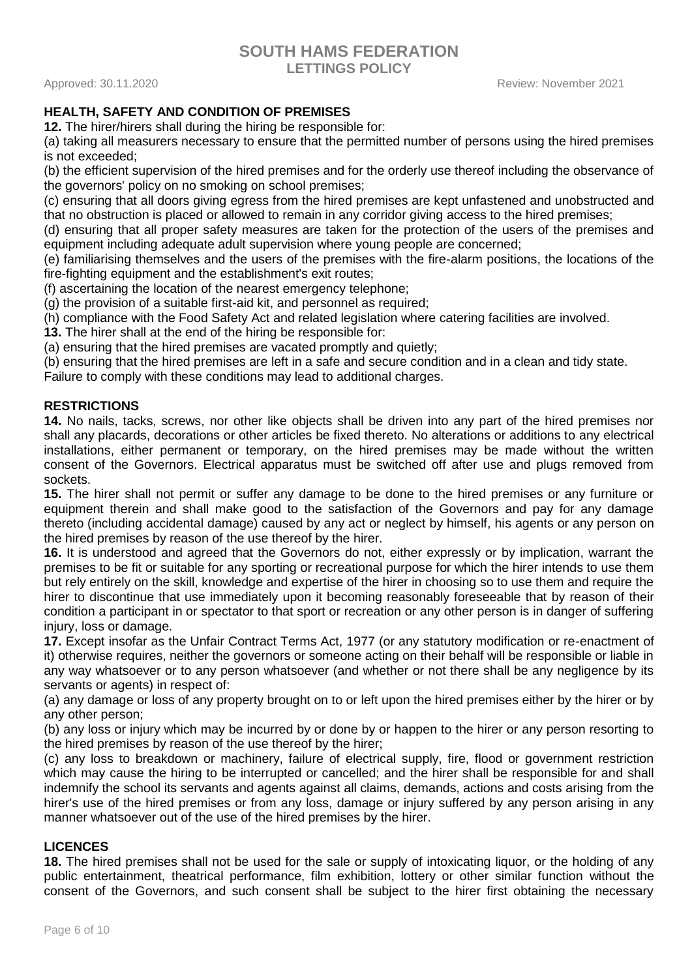**SOUTH HAMS FEDERATION**

**LETTINGS POLICY**

Approved: 30.11.2020 Review: November 2021

## **HEALTH, SAFETY AND CONDITION OF PREMISES**

**12.** The hirer/hirers shall during the hiring be responsible for:

(a) taking all measurers necessary to ensure that the permitted number of persons using the hired premises is not exceeded;

(b) the efficient supervision of the hired premises and for the orderly use thereof including the observance of the governors' policy on no smoking on school premises;

(c) ensuring that all doors giving egress from the hired premises are kept unfastened and unobstructed and that no obstruction is placed or allowed to remain in any corridor giving access to the hired premises;

(d) ensuring that all proper safety measures are taken for the protection of the users of the premises and equipment including adequate adult supervision where young people are concerned;

(e) familiarising themselves and the users of the premises with the fire-alarm positions, the locations of the fire-fighting equipment and the establishment's exit routes;

(f) ascertaining the location of the nearest emergency telephone;

(g) the provision of a suitable first-aid kit, and personnel as required;

(h) compliance with the Food Safety Act and related legislation where catering facilities are involved.

**13.** The hirer shall at the end of the hiring be responsible for:

(a) ensuring that the hired premises are vacated promptly and quietly;

(b) ensuring that the hired premises are left in a safe and secure condition and in a clean and tidy state.

Failure to comply with these conditions may lead to additional charges.

## **RESTRICTIONS**

**14.** No nails, tacks, screws, nor other like objects shall be driven into any part of the hired premises nor shall any placards, decorations or other articles be fixed thereto. No alterations or additions to any electrical installations, either permanent or temporary, on the hired premises may be made without the written consent of the Governors. Electrical apparatus must be switched off after use and plugs removed from sockets.

**15.** The hirer shall not permit or suffer any damage to be done to the hired premises or any furniture or equipment therein and shall make good to the satisfaction of the Governors and pay for any damage thereto (including accidental damage) caused by any act or neglect by himself, his agents or any person on the hired premises by reason of the use thereof by the hirer.

**16.** It is understood and agreed that the Governors do not, either expressly or by implication, warrant the premises to be fit or suitable for any sporting or recreational purpose for which the hirer intends to use them but rely entirely on the skill, knowledge and expertise of the hirer in choosing so to use them and require the hirer to discontinue that use immediately upon it becoming reasonably foreseeable that by reason of their condition a participant in or spectator to that sport or recreation or any other person is in danger of suffering injury, loss or damage.

**17.** Except insofar as the Unfair Contract Terms Act, 1977 (or any statutory modification or re-enactment of it) otherwise requires, neither the governors or someone acting on their behalf will be responsible or liable in any way whatsoever or to any person whatsoever (and whether or not there shall be any negligence by its servants or agents) in respect of:

(a) any damage or loss of any property brought on to or left upon the hired premises either by the hirer or by any other person;

(b) any loss or injury which may be incurred by or done by or happen to the hirer or any person resorting to the hired premises by reason of the use thereof by the hirer;

(c) any loss to breakdown or machinery, failure of electrical supply, fire, flood or government restriction which may cause the hiring to be interrupted or cancelled; and the hirer shall be responsible for and shall indemnify the school its servants and agents against all claims, demands, actions and costs arising from the hirer's use of the hired premises or from any loss, damage or injury suffered by any person arising in any manner whatsoever out of the use of the hired premises by the hirer.

## **LICENCES**

**18.** The hired premises shall not be used for the sale or supply of intoxicating liquor, or the holding of any public entertainment, theatrical performance, film exhibition, lottery or other similar function without the consent of the Governors, and such consent shall be subject to the hirer first obtaining the necessary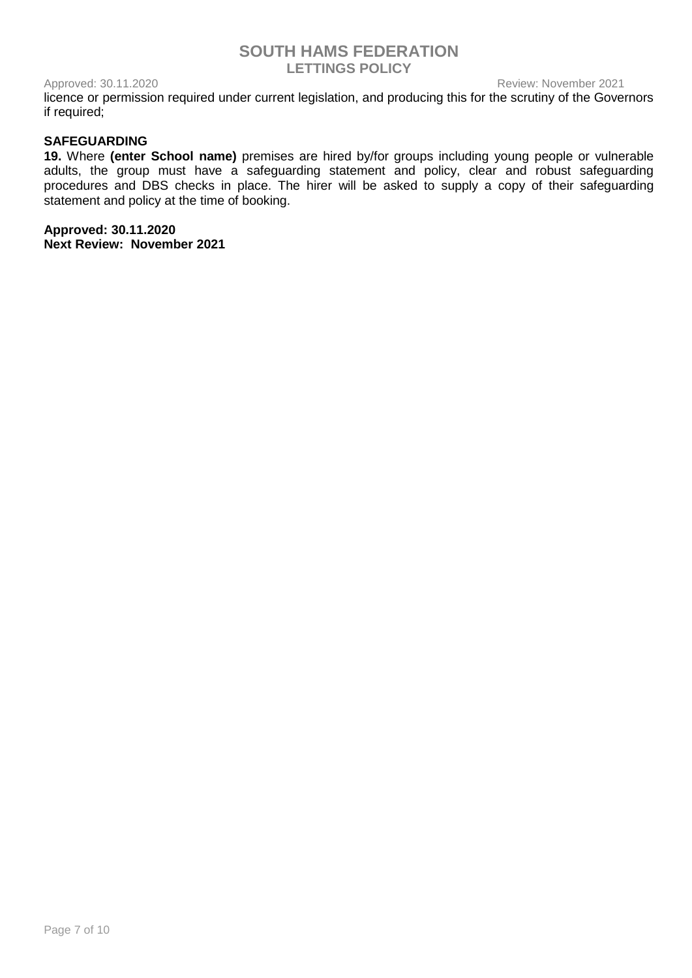Approved: 30.11.2020 **Review: November 2021** 

licence or permission required under current legislation, and producing this for the scrutiny of the Governors if required;

## **SAFEGUARDING**

**19.** Where **(enter School name)** premises are hired by/for groups including young people or vulnerable adults, the group must have a safeguarding statement and policy, clear and robust safeguarding procedures and DBS checks in place. The hirer will be asked to supply a copy of their safeguarding statement and policy at the time of booking.

**Approved: 30.11.2020 Next Review: November 2021**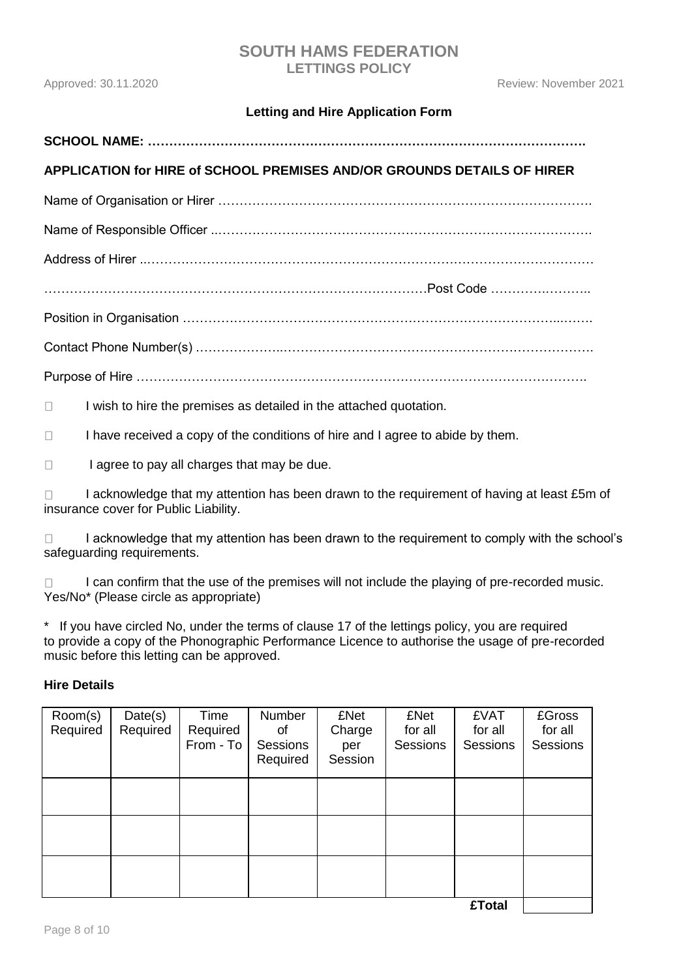# **Letting and Hire Application Form**

# **SCHOOL NAME: ………………………………………………………………………………………….**

# **APPLICATION for HIRE of SCHOOL PREMISES AND/OR GROUNDS DETAILS OF HIRER**

Name of Organisation or Hirer …………………………………………………………………………….

Name of Responsible Officer ..…………………………………………………………………………….

Address of Hirer ..……………………………………………………………………………………………

………………………………………………………………………………Post Code ………….………..

Position in Organisation ……………………………………………………………………………...…….

Contact Phone Number(s) .………………..……………………………………………………………….

Purpose of Hire …………………………………………………………………………………………….

I wish to hire the premises as detailed in the attached quotation.  $\Box$ 

 $\Box$ I have received a copy of the conditions of hire and I agree to abide by them.

 $\Box$ I agree to pay all charges that may be due.

I acknowledge that my attention has been drawn to the requirement of having at least £5m of  $\Box$ insurance cover for Public Liability.

I acknowledge that my attention has been drawn to the requirement to comply with the school's  $\Box$ safeguarding requirements.

I can confirm that the use of the premises will not include the playing of pre-recorded music.  $\Box$ Yes/No\* (Please circle as appropriate)

If you have circled No, under the terms of clause 17 of the lettings policy, you are required to provide a copy of the Phonographic Performance Licence to authorise the usage of pre-recorded music before this letting can be approved.

## **Hire Details**

| Room(s)<br>Required | Date(s)<br>Required | Time<br>Required<br>From - To | Number<br>οf<br><b>Sessions</b><br>Required | <b>£Net</b><br>Charge<br>per<br>Session | <b>£Net</b><br>for all<br><b>Sessions</b> | <b>£VAT</b><br>for all<br><b>Sessions</b> | <b>£Gross</b><br>for all<br>Sessions |
|---------------------|---------------------|-------------------------------|---------------------------------------------|-----------------------------------------|-------------------------------------------|-------------------------------------------|--------------------------------------|
|                     |                     |                               |                                             |                                         |                                           |                                           |                                      |
|                     |                     |                               |                                             |                                         |                                           |                                           |                                      |
|                     |                     |                               |                                             |                                         |                                           |                                           |                                      |
|                     |                     |                               |                                             |                                         |                                           | CTAAI                                     |                                      |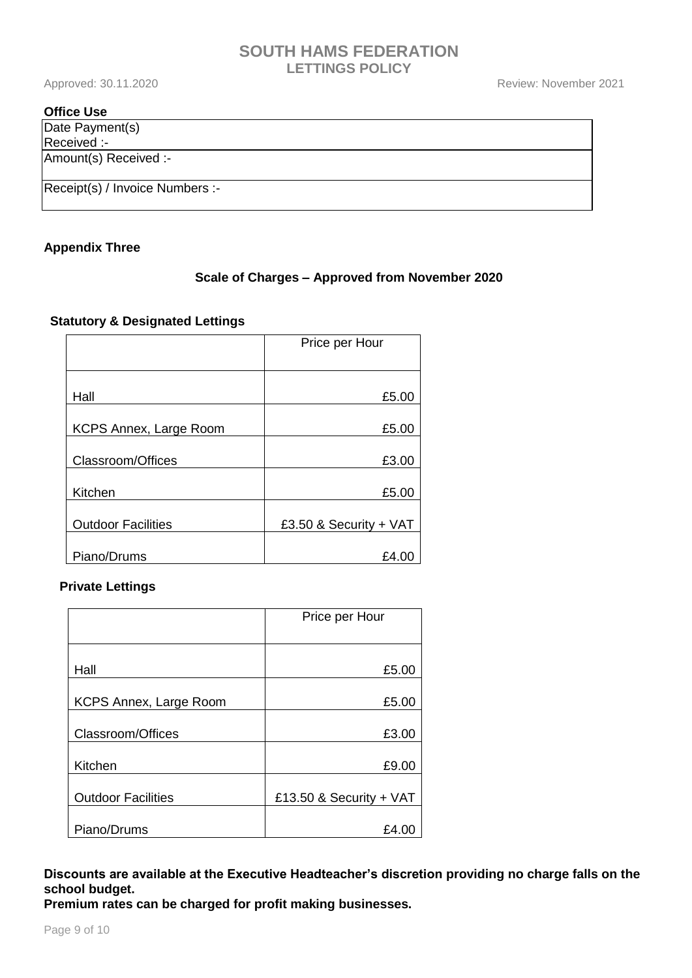## **Office Use**

Date Payment(s) Received :- Amount(s) Received :-

Receipt(s) / Invoice Numbers :-

## **Appendix Three**

## **Scale of Charges – Approved from November 2020**

## **Statutory & Designated Lettings**

|                           | Price per Hour         |  |
|---------------------------|------------------------|--|
|                           |                        |  |
|                           |                        |  |
| Hall                      | £5.00                  |  |
| KCPS Annex, Large Room    | £5.00                  |  |
|                           |                        |  |
| Classroom/Offices         | £3.00                  |  |
| Kitchen                   | £5.00                  |  |
| <b>Outdoor Facilities</b> | £3.50 & Security + VAT |  |
| Piano/Drums               | £4.0                   |  |

## **Private Lettings**

|                               | Price per Hour            |  |
|-------------------------------|---------------------------|--|
|                               |                           |  |
| Hall                          | £5.00                     |  |
| <b>KCPS Annex, Large Room</b> | £5.00                     |  |
| Classroom/Offices             | £3.00                     |  |
| Kitchen                       | £9.00                     |  |
| <b>Outdoor Facilities</b>     | £13.50 & Security + $VAT$ |  |
| Piano/Drums                   | £4.0                      |  |

**Discounts are available at the Executive Headteacher's discretion providing no charge falls on the school budget.** 

**Premium rates can be charged for profit making businesses.**